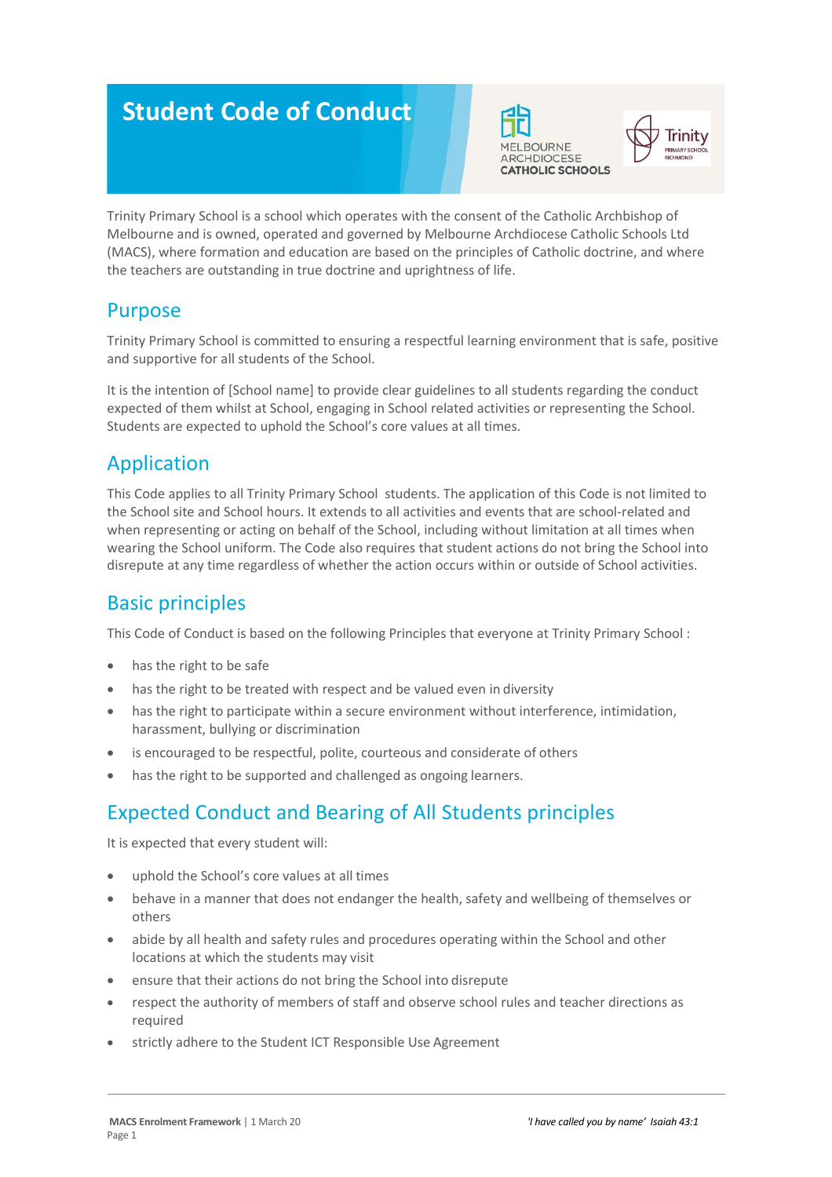# **Student Code of Conduct**





Trinity Primary School is a school which operates with the consent of the Catholic Archbishop of Melbourne and is owned, operated and governed by Melbourne Archdiocese Catholic Schools Ltd (MACS), where formation and education are based on the principles of Catholic doctrine, and where the teachers are outstanding in true doctrine and uprightness of life.

#### Purpose

Trinity Primary School is committed to ensuring a respectful learning environment that is safe, positive and supportive for all students of the School.

It is the intention of [School name] to provide clear guidelines to all students regarding the conduct expected of them whilst at School, engaging in School related activities or representing the School. Students are expected to uphold the School's core values at all times.

# Application

This Code applies to all Trinity Primary School students. The application of this Code is not limited to the School site and School hours. It extends to all activities and events that are school-related and when representing or acting on behalf of the School, including without limitation at all times when wearing the School uniform. The Code also requires that student actions do not bring the School into disrepute at any time regardless of whether the action occurs within or outside of School activities.

## Basic principles

This Code of Conduct is based on the following Principles that everyone at Trinity Primary School :

- has the right to be safe
- has the right to be treated with respect and be valued even in diversity
- has the right to participate within a secure environment without interference, intimidation, harassment, bullying or discrimination
- is encouraged to be respectful, polite, courteous and considerate of others
- has the right to be supported and challenged as ongoing learners.

# Expected Conduct and Bearing of All Students principles

It is expected that every student will:

- uphold the School's core values at all times
- behave in a manner that does not endanger the health, safety and wellbeing of themselves or others
- abide by all health and safety rules and procedures operating within the School and other locations at which the students may visit
- ensure that their actions do not bring the School into disrepute
- respect the authority of members of staff and observe school rules and teacher directions as required
- strictly adhere to the Student ICT Responsible Use Agreement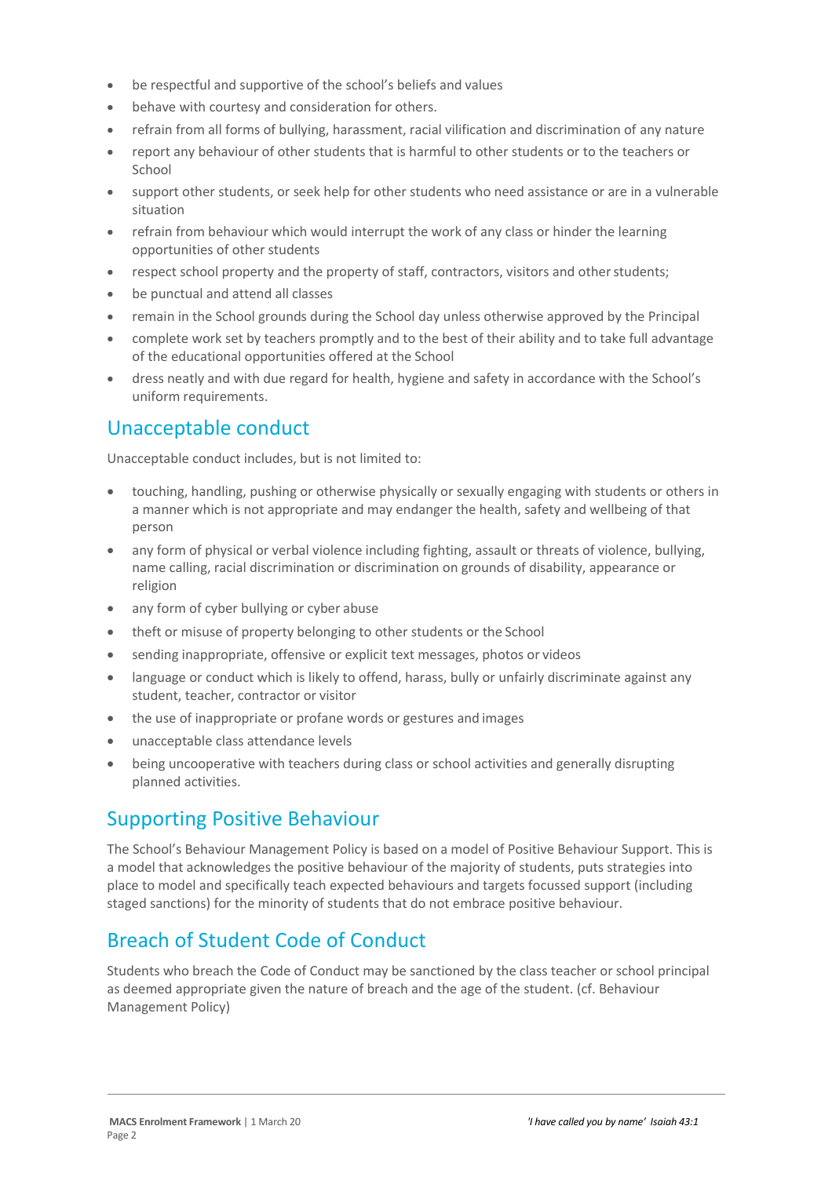- be respectful and supportive of the school's beliefs and values
- behave with courtesy and consideration for others.
- refrain from all forms of bullying, harassment, racial vilification and discrimination of any nature
- report any behaviour of other students that is harmful to other students or to the teachers or School
- support other students, or seek help for other students who need assistance or are in a vulnerable situation
- refrain from behaviour which would interrupt the work of any class or hinder the learning opportunities of other students
- respect school property and the property of staff, contractors, visitors and other students;
- be punctual and attend all classes
- remain in the School grounds during the School day unless otherwise approved by the Principal
- complete work set by teachers promptly and to the best of their ability and to take full advantage of the educational opportunities offered at the School
- dress neatly and with due regard for health, hygiene and safety in accordance with the School's uniform requirements.

#### Unacceptable conduct

Unacceptable conduct includes, but is not limited to:

- touching, handling, pushing or otherwise physically or sexually engaging with students or others in a manner which is not appropriate and may endanger the health, safety and wellbeing of that person
- any form of physical or verbal violence including fighting, assault or threats of violence, bullying, name calling, racial discrimination or discrimination on grounds of disability, appearance or religion
- any form of cyber bullying or cyber abuse
- theft or misuse of property belonging to other students or the School
- sending inappropriate, offensive or explicit text messages, photos or videos
- language or conduct which is likely to offend, harass, bully or unfairly discriminate against any student, teacher, contractor or visitor
- the use of inappropriate or profane words or gestures and images
- unacceptable class attendance levels
- being uncooperative with teachers during class or school activities and generally disrupting planned activities.

#### Supporting Positive Behaviour

The School's Behaviour Management Policy is based on a model of Positive Behaviour Support. This is a model that acknowledges the positive behaviour of the majority of students, puts strategies into place to model and specifically teach expected behaviours and targets focussed support (including staged sanctions) for the minority of students that do not embrace positive behaviour.

## Breach of Student Code of Conduct

Students who breach the Code of Conduct may be sanctioned by the class teacher or school principal as deemed appropriate given the nature of breach and the age of the student. (cf. Behaviour Management Policy)